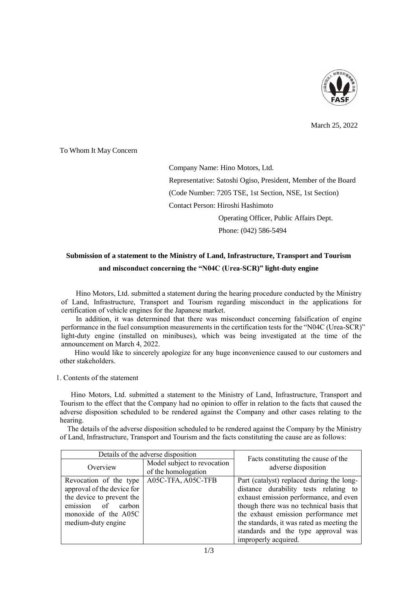

March 25, 2022

To Whom It May Concern

Company Name: Hino Motors, Ltd.

Representative: Satoshi Ogiso, President, Member of the Board

(Code Number: 7205 TSE, 1st Section, NSE, 1st Section)

Contact Person: Hiroshi Hashimoto

Operating Officer, Public Affairs Dept.

Phone: (042) 586-5494

## **Submission of a statement to the Ministry of Land, Infrastructure, Transport and Tourism and misconduct concerning the "N04C (Urea-SCR)" light-duty engine**

Hino Motors, Ltd. submitted a statement during the hearing procedure conducted by the Ministry of Land, Infrastructure, Transport and Tourism regarding misconduct in the applications for certification of vehicle engines for the Japanese market.

In addition, it was determined that there was misconduct concerning falsification of engine performance in the fuel consumption measurements in the certification tests for the "N04C (Urea-SCR)" light-duty engine (installed on minibuses), which was being investigated at the time of the announcement on March 4, 2022.

Hino would like to sincerely apologize for any huge inconvenience caused to our customers and other stakeholders.

1. Contents of the statement

Hino Motors, Ltd. submitted a statement to the Ministry of Land, Infrastructure, Transport and Tourism to the effect that the Company had no opinion to offer in relation to the facts that caused the adverse disposition scheduled to be rendered against the Company and other cases relating to the hearing.

The details of the adverse disposition scheduled to be rendered against the Company by the Ministry of Land, Infrastructure, Transport and Tourism and the facts constituting the cause are as follows:

| Details of the adverse disposition |                                                    |                                                            |
|------------------------------------|----------------------------------------------------|------------------------------------------------------------|
| Overview                           | Model subject to revocation<br>of the homologation | Facts constituting the cause of the<br>adverse disposition |
| Revocation of the type             | A05C-TFA, A05C-TFB                                 | Part (catalyst) replaced during the long-                  |
| approval of the device for         |                                                    | distance durability tests relating to                      |
| the device to prevent the          |                                                    | exhaust emission performance, and even                     |
| emission of carbon                 |                                                    | though there was no technical basis that                   |
| monoxide of the A05C               |                                                    | the exhaust emission performance met                       |
| medium-duty engine                 |                                                    | the standards, it was rated as meeting the                 |
|                                    |                                                    | standards and the type approval was                        |
|                                    |                                                    | improperly acquired.                                       |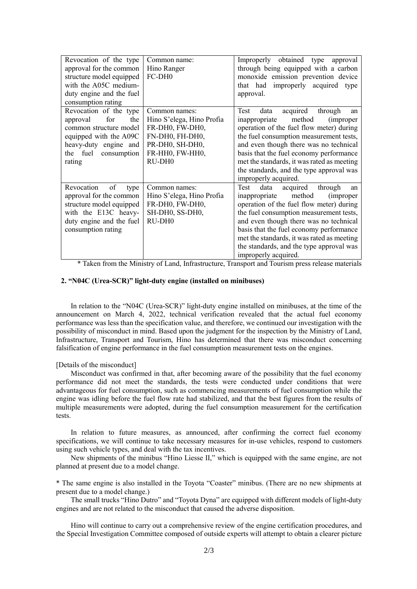| Revocation of the type<br>approval for the common<br>structure model equipped<br>with the A05C medium-                                                             | Common name:<br>Hino Ranger<br>FC-DH <sub>0</sub>                                                                                            | Improperly obtained type<br>approval<br>through being equipped with a carbon<br>monoxide emission prevention device<br>that had improperly acquired type                                                                                                                                                                                                                                |
|--------------------------------------------------------------------------------------------------------------------------------------------------------------------|----------------------------------------------------------------------------------------------------------------------------------------------|-----------------------------------------------------------------------------------------------------------------------------------------------------------------------------------------------------------------------------------------------------------------------------------------------------------------------------------------------------------------------------------------|
| duty engine and the fuel<br>consumption rating                                                                                                                     |                                                                                                                                              | approval.                                                                                                                                                                                                                                                                                                                                                                               |
| Revocation of the type<br>for<br>the<br>approval<br>common structure model<br>equipped with the A09C<br>heavy-duty engine and<br>the fuel<br>consumption<br>rating | Common names:<br>Hino S'elega, Hino Profia<br>FR-DH0, FW-DH0,<br>FN-DH0, FH-DH0,<br>PR-DH0, SH-DH0,<br>FR-HH0, FW-HH0,<br>RU-DH <sub>0</sub> | acquired<br>through<br>Test<br>data<br>an<br>method<br>inappropriate<br><i>(improper)</i><br>operation of the fuel flow meter) during<br>the fuel consumption measurement tests,<br>and even though there was no technical<br>basis that the fuel economy performance<br>met the standards, it was rated as meeting<br>the standards, and the type approval was<br>improperly acquired. |
| Revocation<br>of<br>type<br>approval for the common<br>structure model equipped<br>with the E13C heavy-<br>duty engine and the fuel<br>consumption rating          | Common names:<br>Hino S'elega, Hino Profia<br>FR-DH0, FW-DH0,<br>SH-DH0, SS-DH0,<br>RU-DH <sub>0</sub>                                       | Test<br>data<br>acquired<br>through<br>an<br>method<br>inappropriate<br><i>(improper)</i><br>operation of the fuel flow meter) during<br>the fuel consumption measurement tests,<br>and even though there was no technical<br>basis that the fuel economy performance<br>met the standards, it was rated as meeting<br>the standards, and the type approval was<br>improperly acquired. |

\* Taken from the Ministry of Land, Infrastructure, Transport and Tourism press release materials

## **2. "N04C (Urea-SCR)" light-duty engine (installed on minibuses)**

In relation to the "N04C (Urea-SCR)" light-duty engine installed on minibuses, at the time of the announcement on March 4, 2022, technical verification revealed that the actual fuel economy performance was less than the specification value, and therefore, we continued our investigation with the possibility of misconduct in mind. Based upon the judgment for the inspection by the Ministry of Land, Infrastructure, Transport and Tourism, Hino has determined that there was misconduct concerning falsification of engine performance in the fuel consumption measurement tests on the engines.

## [Details of the misconduct]

Misconduct was confirmed in that, after becoming aware of the possibility that the fuel economy performance did not meet the standards, the tests were conducted under conditions that were advantageous for fuel consumption, such as commencing measurements of fuel consumption while the engine was idling before the fuel flow rate had stabilized, and that the best figures from the results of multiple measurements were adopted, during the fuel consumption measurement for the certification tests.

In relation to future measures, as announced, after confirming the correct fuel economy specifications, we will continue to take necessary measures for in-use vehicles, respond to customers using such vehicle types, and deal with the tax incentives.

New shipments of the minibus "Hino Liesse II," which is equipped with the same engine, are not planned at present due to a model change.

\* The same engine is also installed in the Toyota "Coaster" minibus. (There are no new shipments at present due to a model change.)

The small trucks "Hino Dutro" and "Toyota Dyna" are equipped with different models of light-duty engines and are not related to the misconduct that caused the adverse disposition.

Hino will continue to carry out a comprehensive review of the engine certification procedures, and the Special Investigation Committee composed of outside experts will attempt to obtain a clearer picture